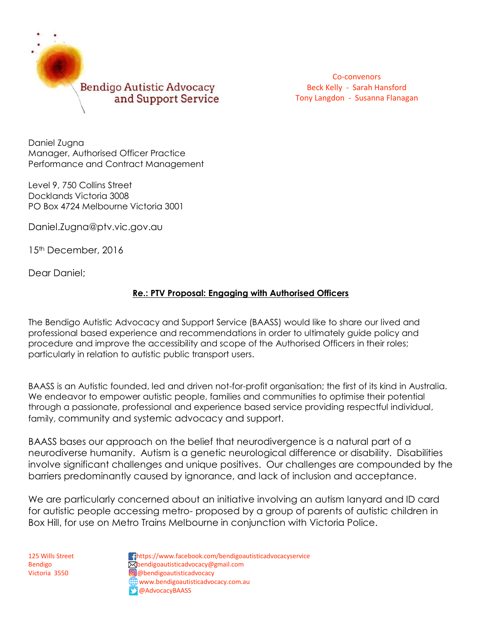

Co-convenors Beck Kelly - Sarah Hansford Tony Langdon - Susanna Flanagan

Daniel Zugna Manager, Authorised Officer Practice Performance and Contract Management

Level 9, 750 Collins Street Docklands Victoria 3008 PO Box 4724 Melbourne Victoria 3001

Daniel.Zugna@ptv.vic.gov.au

15th December, 2016

Dear Daniel;

## **Re.: PTV Proposal: Engaging with Authorised Officers**

The Bendigo Autistic Advocacy and Support Service (BAASS) would like to share our lived and professional based experience and recommendations in order to ultimately guide policy and procedure and improve the accessibility and scope of the Authorised Officers in their roles; particularly in relation to autistic public transport users.

BAASS is an Autistic founded, led and driven not-for-profit organisation; the first of its kind in Australia. We endeavor to empower autistic people, families and communities to optimise their potential through a passionate, professional and experience based service providing respectful individual, family, community and systemic advocacy and support.

BAASS bases our approach on the belief that neurodivergence is a natural part of a neurodiverse humanity. Autism is a genetic neurological difference or disability. Disabilities involve significant challenges and unique positives. Our challenges are compounded by the barriers predominantly caused by ignorance, and lack of inclusion and acceptance.

We are particularly concerned about an initiative involving an autism lanyard and ID card for autistic people accessing metro- proposed by a group of parents of autistic children in Box Hill, for use on Metro Trains Melbourne in conjunction with Victoria Police.